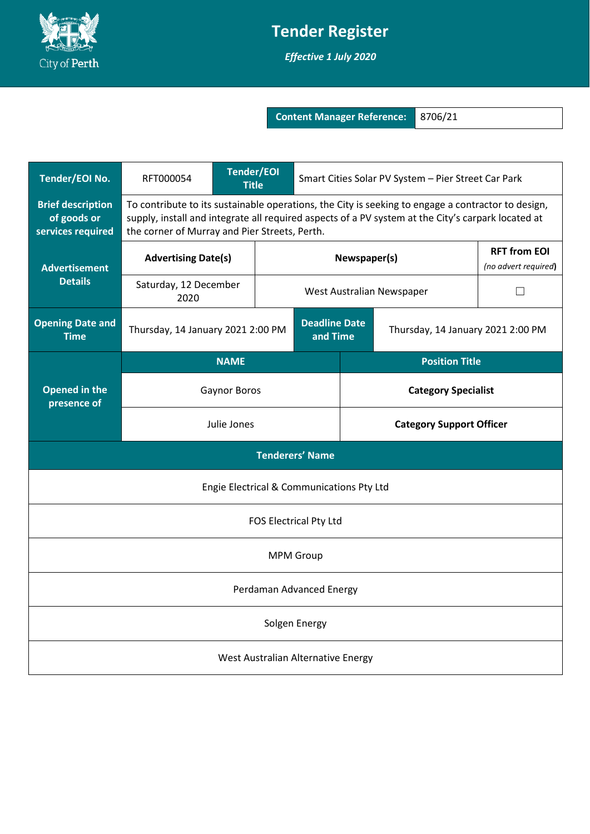

## **Tender Register**

*Effective 1 July 2020*

**Content Manager Reference:** 8706/21

| <b>Tender/EOI No.</b>                                        | RFT000054                                                                                                                                                                                                                                                 | <b>Tender/EOI</b><br><b>Title</b> |                                   | Smart Cities Solar PV System - Pier Street Car Park |  |                                             |  |
|--------------------------------------------------------------|-----------------------------------------------------------------------------------------------------------------------------------------------------------------------------------------------------------------------------------------------------------|-----------------------------------|-----------------------------------|-----------------------------------------------------|--|---------------------------------------------|--|
| <b>Brief description</b><br>of goods or<br>services required | To contribute to its sustainable operations, the City is seeking to engage a contractor to design,<br>supply, install and integrate all required aspects of a PV system at the City's carpark located at<br>the corner of Murray and Pier Streets, Perth. |                                   |                                   |                                                     |  |                                             |  |
| <b>Advertisement</b><br><b>Details</b>                       | <b>Advertising Date(s)</b>                                                                                                                                                                                                                                |                                   |                                   | Newspaper(s)                                        |  | <b>RFT from EOI</b><br>(no advert required) |  |
|                                                              | Saturday, 12 December<br>2020                                                                                                                                                                                                                             |                                   |                                   | West Australian Newspaper                           |  | $\mathsf{L}$                                |  |
| <b>Opening Date and</b><br><b>Time</b>                       | <b>Deadline Date</b><br>Thursday, 14 January 2021 2:00 PM<br>and Time                                                                                                                                                                                     |                                   | Thursday, 14 January 2021 2:00 PM |                                                     |  |                                             |  |
| <b>Opened in the</b><br>presence of                          | <b>NAME</b>                                                                                                                                                                                                                                               |                                   |                                   | <b>Position Title</b>                               |  |                                             |  |
|                                                              | <b>Gaynor Boros</b>                                                                                                                                                                                                                                       |                                   |                                   | <b>Category Specialist</b>                          |  |                                             |  |
|                                                              | Julie Jones                                                                                                                                                                                                                                               |                                   |                                   | <b>Category Support Officer</b>                     |  |                                             |  |
| <b>Tenderers' Name</b>                                       |                                                                                                                                                                                                                                                           |                                   |                                   |                                                     |  |                                             |  |
| Engie Electrical & Communications Pty Ltd                    |                                                                                                                                                                                                                                                           |                                   |                                   |                                                     |  |                                             |  |
| FOS Electrical Pty Ltd                                       |                                                                                                                                                                                                                                                           |                                   |                                   |                                                     |  |                                             |  |
| <b>MPM Group</b>                                             |                                                                                                                                                                                                                                                           |                                   |                                   |                                                     |  |                                             |  |
| Perdaman Advanced Energy                                     |                                                                                                                                                                                                                                                           |                                   |                                   |                                                     |  |                                             |  |
| Solgen Energy                                                |                                                                                                                                                                                                                                                           |                                   |                                   |                                                     |  |                                             |  |
| West Australian Alternative Energy                           |                                                                                                                                                                                                                                                           |                                   |                                   |                                                     |  |                                             |  |